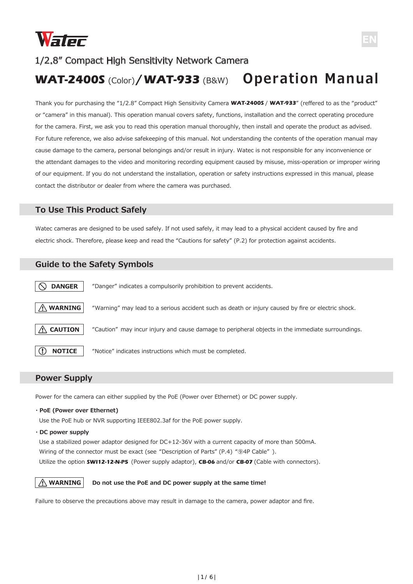

## 1/2.8" Compact High Sensitivity Network Camera

# **WAT-2400S** (Color) **WAT-933** (B&W) **Operation Manual /**

Thank you for purchasing the "1/2.8" Compact High Sensitivity Camera **WAT-2400S** / **WAT-933**" (reffered to as the "product" or "camera" in this manual). This operation manual covers safety, functions, installation and the correct operating procedure for the camera. First, we ask you to read this operation manual thoroughly, then install and operate the product as advised. For future reference, we also advise safekeeping of this manual. Not understanding the contents of the operation manual may cause damage to the camera, personal belongings and/or result in injury. Watec is not responsible for any inconvenience or the attendant damages to the video and monitoring recording equipment caused by misuse, miss-operation or improper wiring of our equipment. If you do not understand the installation, operation or safety instructions expressed in this manual, please contact the distributor or dealer from where the camera was purchased.

## **To Use This Product Safely**

Watec cameras are designed to be used safely. If not used safely, it may lead to a physical accident caused by fire and electric shock. Therefore, please keep and read the "Cautions for safety" (P.2) for protection against accidents.

## **Guide to the Safety Symbols**

| <b>DANGER</b>   | "Danger" indicates a compulsorily prohibition to prevent accidents.                                |
|-----------------|----------------------------------------------------------------------------------------------------|
| $\land$ WARNING | "Warning" may lead to a serious accident such as death or injury caused by fire or electric shock. |
| <b>CAUTION</b>  | "Caution" may incur injury and cause damage to peripheral objects in the immediate surroundings.   |
| <b>NOTICE</b>   | "Notice" indicates instructions which must be completed.                                           |

## **Power Supply**

Power for the camera can either supplied by the PoE (Power over Ethernet) or DC power supply.

#### **・PoE (Power over Ethernet)**

Use the PoE hub or NVR supporting IEEE802.3af for the PoE power supply.

#### **・DC power supply**

Use a stabilized power adaptor designed for DC+12-36V with a current capacity of more than 500mA. Wiring of the connector must be exact (see "Description of Parts" (P.4) "⑨4P Cable"). Utilize the option **SWI12-12-N-P5** (Power supply adaptor), **CB-06** and/or **CB-07** (Cable with connectors).



#### **Do not use the PoE and DC power supply at the same time!**

Failure to observe the precautions above may result in damage to the camera, power adaptor and fire.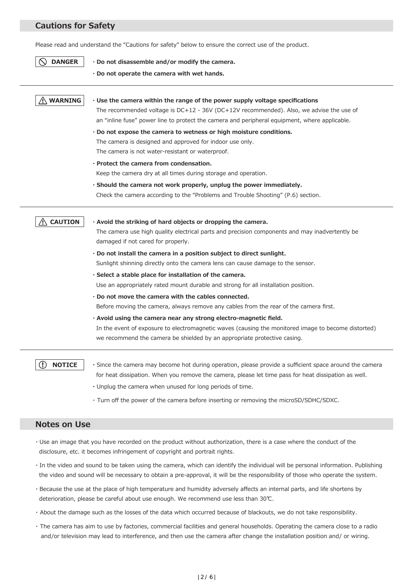## **Cautions for Safety**

Please read and understand the "Cautions for safety" below to ensure the correct use of the product.

- **DANGER ・Do not disassemble and/or modify the camera. ・Do not operate the camera with wet hands. WARNING ・Use the camera within the range of the power supply voltage specifications** The recommended voltage is DC+12 - 36V (DC+12V recommended). Also, we advise the use of an "inline fuse" power line to protect the camera and peripheral equipment, where applicable. **・Do not expose the camera to wetness or high moisture conditions.** The camera is designed and approved for indoor use only. The camera is not water-resistant or waterproof. **・Protect the camera from condensation.** Keep the camera dry at all times during storage and operation. **・Should the camera not work properly, unplug the power immediately.**  Check the camera according to the "Problems and Trouble Shooting" (P.6) section. **CAUTION ・Avoid the striking of hard objects or dropping the camera.** The camera use high quality electrical parts and precision components and may inadvertently be damaged if not cared for properly. **・Do not install the camera in a position subject to direct sunlight.** Sunlight shinning directly onto the camera lens can cause damage to the sensor. **・Select a stable place for installation of the camera.** Use an appropriately rated mount durable and strong for all installation position. **・Do not move the camera with the cables connected.** Before moving the camera, always remove any cables from the rear of the camera first. **・Avoid using the camera near any strong electro-magnetic field.** In the event of exposure to electromagnetic waves (causing the monitored image to become distorted) we recommend the camera be shielded by an appropriate protective casing. **NOTICE** ∩ **・**Since the camera may become hot during operation, please provide a sufficient space around the camera for heat dissipation. When you remove the camera, please let time pass for heat dissipation as well.
	- **・**Unplug the camera when unused for long periods of time.
	- ・ Turn off the power of the camera before inserting or removing the microSD/SDHC/SDXC.

#### **Notes on Use**

- ・Use an image that you have recorded on the product without authorization, there is a case where the conduct of the disclosure, etc. it becomes infringement of copyright and portrait rights.
- ・In the video and sound to be taken using the camera, which can identify the individual will be personal information. Publishing the video and sound will be necessary to obtain a pre-approval, it will be the responsibility of those who operate the system.
- ・Because the use at the place of high temperature and humidity adversely affects an internal parts, and life shortens by deterioration, please be careful about use enough. We recommend use less than 30℃.
- ・ About the damage such as the losses of the data which occurred because of blackouts, we do not take responsibility.
- ・ The camera has aim to use by factories, commercial facilities and general households. Operating the camera close to a radio and/or television may lead to interference, and then use the camera after change the installation position and/ or wiring.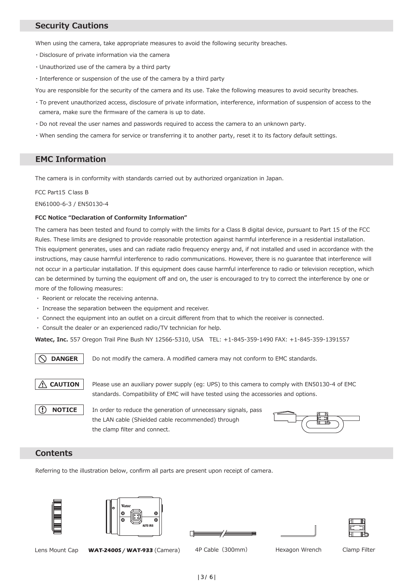## **Security Cautions**

When using the camera, take appropriate measures to avoid the following security breaches.

- ・Disclosure of private information via the camera
- ・Unauthorized use of the camera by a third party
- ・Interference or suspension of the use of the camera by a third party

You are responsible for the security of the camera and its use. Take the following measures to avoid security breaches.

- ・To prevent unauthorized access, disclosure of private information, interference, information of suspension of access to the camera, make sure the firmware of the camera is up to date.
- ・Do not reveal the user names and passwords required to access the camera to an unknown party.
- ・When sending the camera for service or transferring it to another party, reset it to its factory default settings.

## **EMC Information**

The camera is in conformity with standards carried out by authorized organization in Japan.

FCC Part15 Class B

EN61000-6-3 / EN50130-4

#### **FCC Notice "Declaration of Conformity Information"**

The camera has been tested and found to comply with the limits for a Class B digital device, pursuant to Part 15 of the FCC Rules. These limits are designed to provide reasonable protection against harmful interference in a residential installation. This equipment generates, uses and can radiate radio frequency energy and, if not installed and used in accordance with the instructions, may cause harmful interference to radio communications. However, there is no guarantee that interference will not occur in a particular installation. If this equipment does cause harmful interference to radio or television reception, which can be determined by turning the equipment off and on, the user is encouraged to try to correct the interference by one or more of the following measures:

- ・ Reorient or relocate the receiving antenna.
- ・ Increase the separation between the equipment and receiver.
- ・ Connect the equipment into an outlet on a circuit different from that to which the receiver is connected.
- ・ Consult the dealer or an experienced radio/TV technician for help.

**Watec, Inc.** 557 Oregon Trail Pine Bush NY 12566-5310, USA TEL: +1-845-359-1490 FAX: +1-845-359-1391557

**DANGER** Do not modify the camera. A modified camera may not conform to EMC standards.



**NOTICE** 

Please use an auxiliary power supply (eg: UPS) to this camera to comply with EN50130-4 of EMC standards. Compatibility of EMC will have tested using the accessories and options.

In order to reduce the generation of unnecessary signals, pass the LAN cable (Shielded cable recommended) through the clamp filter and connect.



## **Contents**

Referring to the illustration below, confirm all parts are present upon receipt of camera.







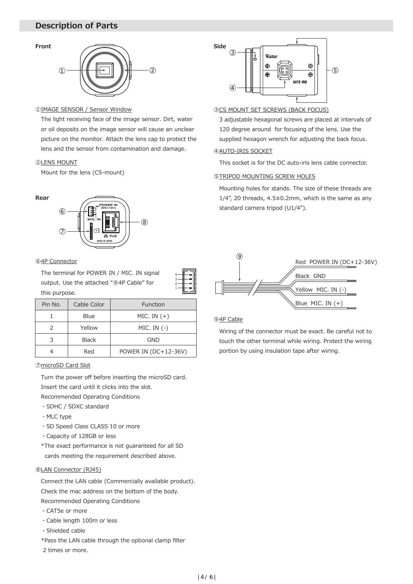## **Description of Parts**



#### ①IMAGE SENSOR / Sensor Window

The light receiving face of the image sensor. Dirt, water or oil deposits on the image sensor will cause an unclear picture on the monitor. Attach the lens cap to protect the lens and the sensor from contamination and damage.

#### ②LENS MOUNT

Mount for the lens (CS-mount)

#### **Rear**

**Front**



#### ⑥4P Connector

The terminal for POWER IN / MIC. IN signal output. Use the attached "⑨4P Cable" for this purpose.

| Pin No. | Cable Color  | Function             |
|---------|--------------|----------------------|
|         | Blue         | MIC. IN $(+)$        |
|         | Yellow       | $MIC.$ IN $(-)$      |
|         | <b>Black</b> | <b>GND</b>           |
|         | Red          | POWER IN (DC+12-36V) |

⑦microSD Card Slot

Turn the power off before inserting the microSD card. Insert the card until it clicks into the slot.

Recommended Operating Conditions

- ・SDHC / SDXC standard
- ・MLC type
- ・SD Speed Class CLASS 10 or more
- ・Capacity of 128GB or less
- \*The exact performance is not guaranteed for all SD cards meeting the requirement described above.

#### ⑧LAN Connector (RJ45)

Connect the LAN cable (Commercially available product). Check the mac address on the bottom of the body. Recommended Operating Conditions

- ・CAT5e or more
- ・Cable length 100m or less
- ・Shielded cable
- \*Pass the LAN cable through the optional clamp filter
- 2 times or more.



#### ③CS MOUNT SET SCREWS (BACK FOCUS)

3 adjustable hexagonal screws are placed at intervals of 120 degree around for focusing of the lens. Use the supplied hexagon wrench for adjusting the back focus.

## ④AUTO-IRIS SOCKET

This socket is for the DC auto-iris lens cable connector.

#### *STRIPOD MOUNTING SCREW HOLES*

Mounting holes for stands. The size of these threads are  $1/4$ ", 20 threads,  $4.5\pm0.2$ mm, which is the same as any standard camera tripod (U1/4").



#### ⑨4P Cable

Wiring of the connector must be exact. Be careful not to touch the other terminal while wiring. Protect the wiring portion by using insulation tape after wiring.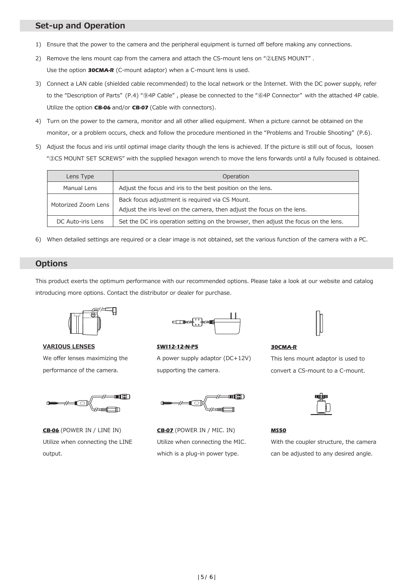## **Set-up and Operation**

- 1) Ensure that the power to the camera and the peripheral equipment is turned off before making any connections.
- 2) Remove the lens mount cap from the camera and attach the CS-mount lens on "②LENS MOUNT" . Use the option **30CMA-R** (C-mount adaptor) when a C-mount lens is used.
- 3) Connect a LAN cable (shielded cable recommended) to the local network or the Internet. With the DC power supply, refer to the "Description of Parts" (P.4) "⑨4P Cable" , please be connected to the "⑥4P Connector" with the attached 4P cable. Utilize the option **CB-06** and/or **CB-07** (Cable with connectors).
- 4) Turn on the power to the camera, monitor and all other allied equipment. When a picture cannot be obtained on the monitor, or a problem occurs, check and follow the procedure mentioned in the "Problems and Trouble Shooting" (P.6).
- 5) Adjust the focus and iris until optimal image clarity though the lens is achieved. If the picture is still out of focus, loosen "③CS MOUNT SET SCREWS" with the supplied hexagon wrench to move the lens forwards until a fully focused is obtained.

| Lens Type                                                                                                                                         | Operation                                                                            |  |  |
|---------------------------------------------------------------------------------------------------------------------------------------------------|--------------------------------------------------------------------------------------|--|--|
| Adjust the focus and iris to the best position on the lens.<br>Manual Lens                                                                        |                                                                                      |  |  |
| Back focus adjustment is required via CS Mount.<br>Motorized Zoom Lens<br>Adjust the iris level on the camera, then adjust the focus on the lens. |                                                                                      |  |  |
| DC Auto-iris Lens                                                                                                                                 | Set the DC iris operation setting on the browser, then adjust the focus on the lens. |  |  |

6) When detailed settings are required or a clear image is not obtained, set the various function of the camera with a PC.

## **Options**

This product exerts the optimum performance with our recommended options. Please take a look at our website and catalog introducing more options. Contact the distributor or dealer for purchase.



**VARIOUS LENSES** We offer lenses maximizing the performance of the camera.



**CB-06** (POWER IN / LINE IN) Utilize when connecting the LINE output.



**SWI12-12-N-P5** A power supply adaptor (DC+12V) supporting the camera.



**CB-07** (POWER IN / MIC. IN) Utilize when connecting the MIC. which is a plug-in power type.



**30CMA-R**

This lens mount adaptor is used to convert a CS-mount to a C-mount.



## **MS50**

With the coupler structure, the camera can be adjusted to any desired angle.